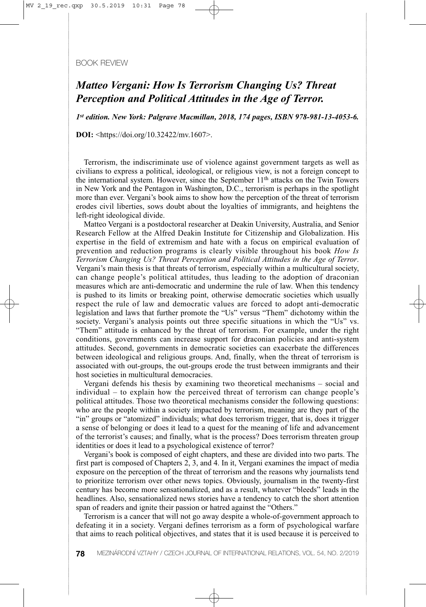## BOOK REVIEW

## *Matteo Vergani: How Is Terrorism Changing Us? Threat Perception and Political Attitudes in the Age of Terror.*

*1st edition. New York: Palgrave Macmillan, 2018, 174 pages, ISBN 978-981-13-4053-6.* 

**DOI:** <https://doi.org/10.32422/mv.1607>.

Terrorism, the indiscriminate use of violence against government targets as well as civilians to express a political, ideological, or religious view, is not a foreign concept to the international system. However, since the September 11th attacks on the Twin Towers in New York and the Pentagon in Washington, D.C., terrorism is perhaps in the spotlight more than ever. Vergani's book aims to show how the perception of the threat of terrorism erodes civil liberties, sows doubt about the loyalties of immigrants, and heightens the left-right ideological divide.

Matteo Vergani is a postdoctoral researcher at Deakin University, Australia, and Senior Research Fellow at the Alfred Deakin Institute for Citizenship and Globalization. His expertise in the field of extremism and hate with a focus on empirical evaluation of prevention and reduction programs is clearly visible throughout his book *How Is Terrorism Changing Us? Threat Perception and Political Attitudes in the Age of Terror*. Vergani's main thesis is that threats of terrorism, especially within a multicultural society, can change people's political attitudes, thus leading to the adoption of draconian measures which are anti-democratic and undermine the rule of law. When this tendency is pushed to its limits or breaking point, otherwise democratic societies which usually respect the rule of law and democratic values are forced to adopt anti-democratic legislation and laws that further promote the "Us" versus "Them" dichotomy within the society. Vergani's analysis points out three specific situations in which the "Us" vs. "Them" attitude is enhanced by the threat of terrorism. For example, under the right conditions, governments can increase support for draconian policies and anti-system attitudes. Second, governments in democratic societies can exacerbate the differences between ideological and religious groups. And, finally, when the threat of terrorism is associated with out-groups, the out-groups erode the trust between immigrants and their host societies in multicultural democracies.

Vergani defends his thesis by examining two theoretical mechanisms – social and individual – to explain how the perceived threat of terrorism can change people's political attitudes. Those two theoretical mechanisms consider the following questions: who are the people within a society impacted by terrorism, meaning are they part of the "in" groups or "atomized" individuals; what does terrorism trigger, that is, does it trigger a sense of belonging or does it lead to a quest for the meaning of life and advancement of the terrorist's causes; and finally, what is the process? Does terrorism threaten group identities or does it lead to a psychological existence of terror?

Vergani's book is composed of eight chapters, and these are divided into two parts. The first part is composed of Chapters 2, 3, and 4. In it, Vergani examines the impact of media exposure on the perception of the threat of terrorism and the reasons why journalists tend to prioritize terrorism over other news topics. Obviously, journalism in the twenty-first century has become more sensationalized, and as a result, whatever "bleeds" leads in the headlines. Also, sensationalized news stories have a tendency to catch the short attention span of readers and ignite their passion or hatred against the "Others."

Terrorism is a cancer that will not go away despite a whole-of-government approach to defeating it in a society. Vergani defines terrorism as a form of psychological warfare that aims to reach political objectives, and states that it is used because it is perceived to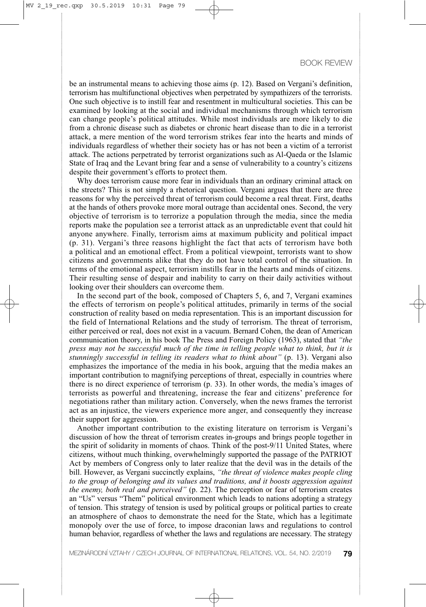be an instrumental means to achieving those aims (p. 12). Based on Vergani's definition, terrorism has multifunctional objectives when perpetrated by sympathizers of the terrorists. One such objective is to instill fear and resentment in multicultural societies. This can be examined by looking at the social and individual mechanisms through which terrorism can change people's political attitudes. While most individuals are more likely to die from a chronic disease such as diabetes or chronic heart disease than to die in a terrorist attack, a mere mention of the word terrorism strikes fear into the hearts and minds of individuals regardless of whether their society has or has not been a victim of a terrorist attack. The actions perpetrated by terrorist organizations such as Al-Qaeda or the Islamic State of Iraq and the Levant bring fear and a sense of vulnerability to a country's citizens despite their government's efforts to protect them.

Why does terrorism cause more fear in individuals than an ordinary criminal attack on the streets? This is not simply a rhetorical question. Vergani argues that there are three reasons for why the perceived threat of terrorism could become a real threat. First, deaths at the hands of others provoke more moral outrage than accidental ones. Second, the very objective of terrorism is to terrorize a population through the media, since the media reports make the population see a terrorist attack as an unpredictable event that could hit anyone anywhere. Finally, terrorism aims at maximum publicity and political impact (p. 31). Vergani's three reasons highlight the fact that acts of terrorism have both a political and an emotional effect. From a political viewpoint, terrorists want to show citizens and governments alike that they do not have total control of the situation. In terms of the emotional aspect, terrorism instills fear in the hearts and minds of citizens. Their resulting sense of despair and inability to carry on their daily activities without looking over their shoulders can overcome them.

In the second part of the book, composed of Chapters 5, 6, and 7, Vergani examines the effects of terrorism on people's political attitudes, primarily in terms of the social construction of reality based on media representation. This is an important discussion for the field of International Relations and the study of terrorism. The threat of terrorism, either perceived or real, does not exist in a vacuum. Bernard Cohen, the dean of American communication theory, in his book The Press and Foreign Policy (1963), stated that *"the press may not be successful much of the time in telling people what to think, but it is stunningly successful in telling its readers what to think about"* (p. 13). Vergani also emphasizes the importance of the media in his book, arguing that the media makes an important contribution to magnifying perceptions of threat, especially in countries where there is no direct experience of terrorism (p. 33). In other words, the media's images of terrorists as powerful and threatening, increase the fear and citizens' preference for negotiations rather than military action. Conversely, when the news frames the terrorist act as an injustice, the viewers experience more anger, and consequently they increase their support for aggression.

Another important contribution to the existing literature on terrorism is Vergani's discussion of how the threat of terrorism creates in-groups and brings people together in the spirit of solidarity in moments of chaos. Think of the post-9/11 United States, where citizens, without much thinking, overwhelmingly supported the passage of the PATRIOT Act by members of Congress only to later realize that the devil was in the details of the bill. However, as Vergani succinctly explains, *"the threat of violence makes people cling to the group of belonging and its values and traditions, and it boosts aggression against the enemy, both real and perceived"* (p. 22). The perception or fear of terrorism creates an "Us" versus "Them" political environment which leads to nations adopting a strategy of tension. This strategy of tension is used by political groups or political parties to create an atmosphere of chaos to demonstrate the need for the State, which has a legitimate monopoly over the use of force, to impose draconian laws and regulations to control human behavior, regardless of whether the laws and regulations are necessary. The strategy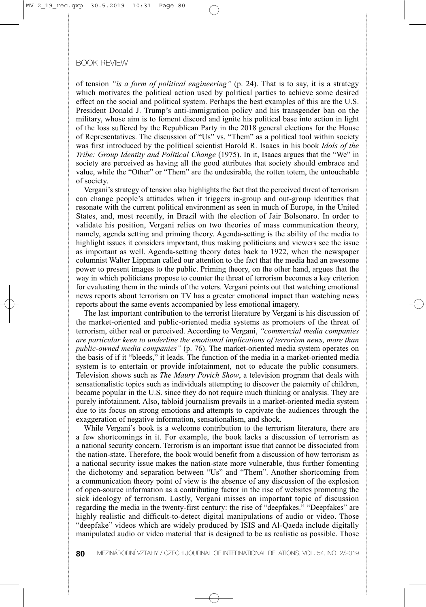## BOOK REVIEW

of tension *"is a form of political engineering"* (p. 24). That is to say, it is a strategy which motivates the political action used by political parties to achieve some desired effect on the social and political system. Perhaps the best examples of this are the U.S. President Donald J. Trump's anti-immigration policy and his transgender ban on the military, whose aim is to foment discord and ignite his political base into action in light of the loss suffered by the Republican Party in the 2018 general elections for the House of Representatives. The discussion of "Us" vs. "Them" as a political tool within society was first introduced by the political scientist Harold R. Isaacs in his book *Idols of the Tribe: Group Identity and Political Change* (1975). In it, Isaacs argues that the "We" in society are perceived as having all the good attributes that society should embrace and value, while the "Other" or "Them" are the undesirable, the rotten totem, the untouchable of society.

Vergani's strategy of tension also highlights the fact that the perceived threat of terrorism can change people's attitudes when it triggers in-group and out-group identities that resonate with the current political environment as seen in much of Europe, in the United States, and, most recently, in Brazil with the election of Jair Bolsonaro. In order to validate his position, Vergani relies on two theories of mass communication theory, namely, agenda setting and priming theory. Agenda-setting is the ability of the media to highlight issues it considers important, thus making politicians and viewers see the issue as important as well. Agenda-setting theory dates back to 1922, when the newspaper columnist Walter Lippman called our attention to the fact that the media had an awesome power to present images to the public. Priming theory, on the other hand, argues that the way in which politicians propose to counter the threat of terrorism becomes a key criterion for evaluating them in the minds of the voters. Vergani points out that watching emotional news reports about terrorism on TV has a greater emotional impact than watching news reports about the same events accompanied by less emotional imagery.

The last important contribution to the terrorist literature by Vergani is his discussion of the market-oriented and public-oriented media systems as promoters of the threat of terrorism, either real or perceived. According to Vergani, *"commercial media companies are particular keen to underline the emotional implications of terrorism news, more than public-owned media companies"* (p. 76). The market-oriented media system operates on the basis of if it "bleeds," it leads. The function of the media in a market-oriented media system is to entertain or provide infotainment, not to educate the public consumers. Television shows such as *The Maury Povich Show*, a television program that deals with sensationalistic topics such as individuals attempting to discover the paternity of children, became popular in the U.S. since they do not require much thinking or analysis. They are purely infotainment. Also, tabloid journalism prevails in a market-oriented media system due to its focus on strong emotions and attempts to captivate the audiences through the exaggeration of negative information, sensationalism, and shock.

While Vergani's book is a welcome contribution to the terrorism literature, there are a few shortcomings in it. For example, the book lacks a discussion of terrorism as a national security concern. Terrorism is an important issue that cannot be dissociated from the nation-state. Therefore, the book would benefit from a discussion of how terrorism as a national security issue makes the nation-state more vulnerable, thus further fomenting the dichotomy and separation between "Us" and "Them". Another shortcoming from a communication theory point of view is the absence of any discussion of the explosion of open-source information as a contributing factor in the rise of websites promoting the sick ideology of terrorism. Lastly, Vergani misses an important topic of discussion regarding the media in the twenty-first century: the rise of "deepfakes." "Deepfakes" are highly realistic and difficult-to-detect digital manipulations of audio or video. Those "deepfake" videos which are widely produced by ISIS and Al-Qaeda include digitally manipulated audio or video material that is designed to be as realistic as possible. Those